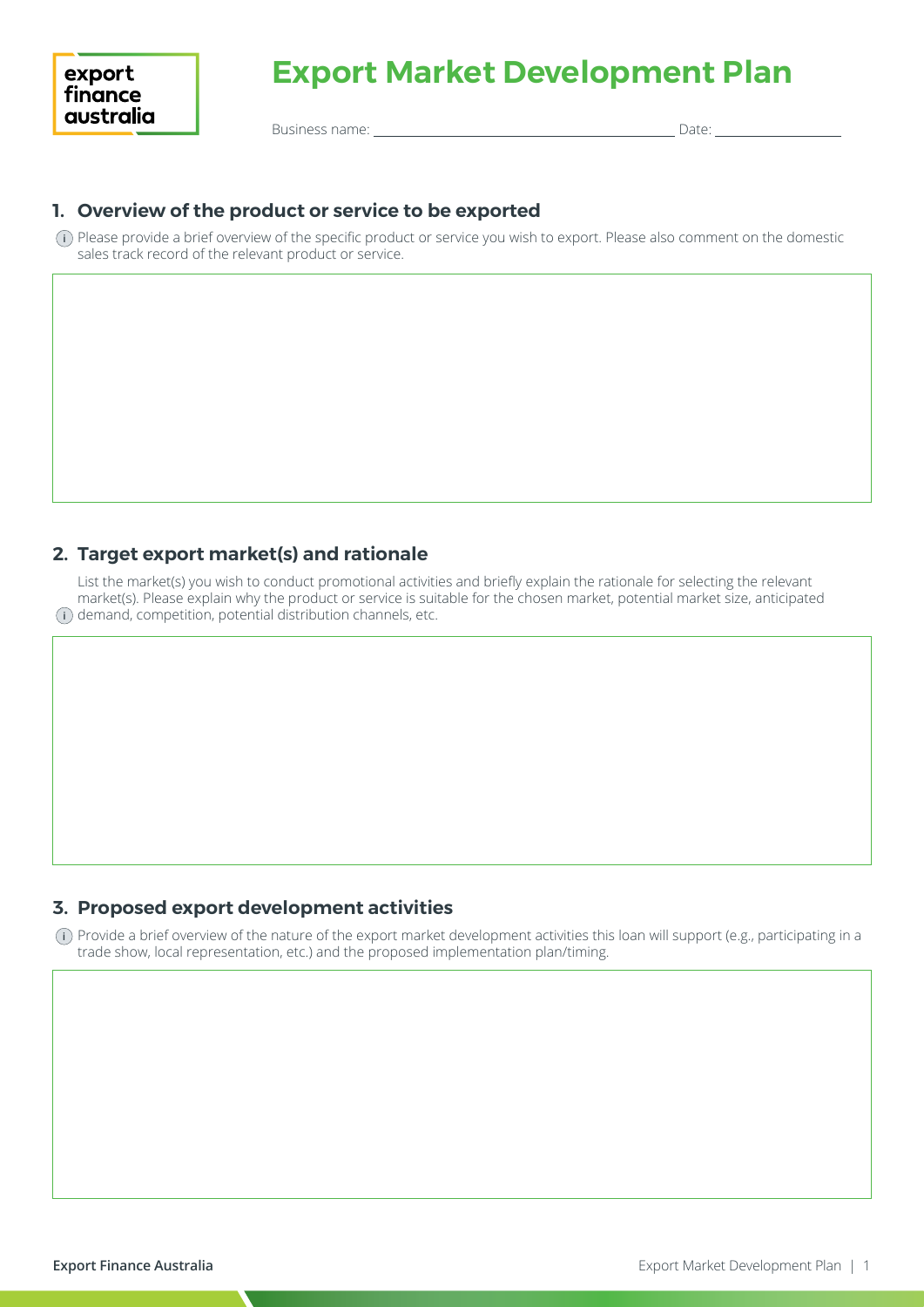# **Export Market Development Plan**

Business name: Date:

## **1. Overview of the product or service to be exported**

 Please provide a brief overview of the specific product or service you wish to export. Please also comment on the domestic **i** sales track record of the relevant product or service.

#### **2. Target export market(s) and rationale**

 List the market(s) you wish to conduct promotional activities and briefly explain the rationale for selecting the relevant market(s). Please explain why the product or service is suitable for the chosen market, potential market size, anticipated **i** ) demand, competition, potential distribution channels, etc.

#### **3. Proposed export development activities**

 Provide a brief overview of the nature of the export market development activities this loan will support (e.g., participating in a **i**trade show, local representation, etc.) and the proposed implementation plan/timing.